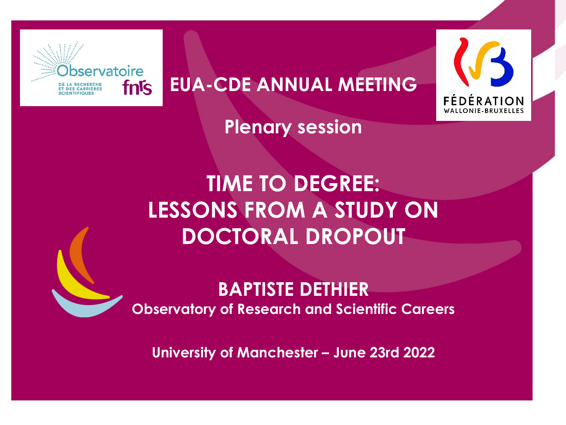

**EUA-CDE ANNUAL MEETING**



**Plenary session**

# **TIME TO DEGREE: LESSONS FROM A STUDY ON DOCTORAL DROPOUT**

# **BAPTISTE DETHIER Observatory of Research and Scientific Careers**

**University of Manchester – June 23rd 2022**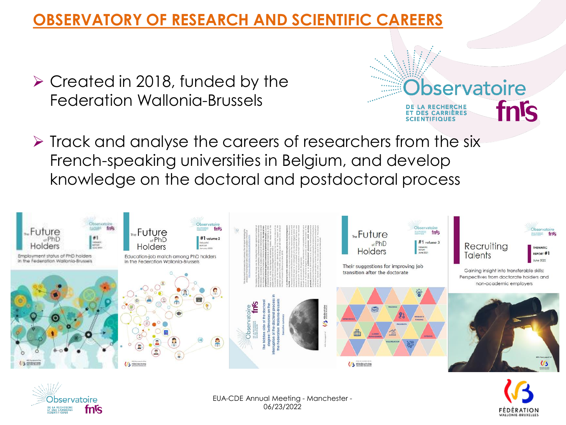# **OBSERVATORY OF RESEARCH AND SCIENTIFIC CAREERS**

- ➢ Created in 2018, funded by the Federation Wallonia-Brussels
- ➢ Track and analyse the careers of researchers from the six French-speaking universities in Belgium, and develop knowledge on the doctoral and postdoctoral process





EUA-CDE Annual Meeting - Manchester - 06/23/2022



bservatoire

**DES CARRIÈRES** 

fnis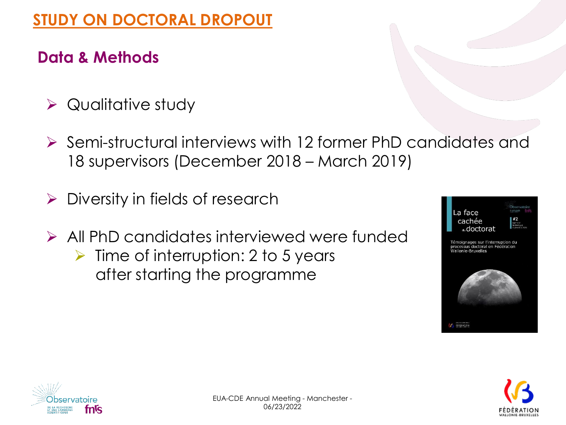# **STUDY ON DOCTORAL DROPOUT**

# **Data & Methods**

- ➢ Qualitative study
- ➢ Semi-structural interviews with 12 former PhD candidates and 18 supervisors (December 2018 – March 2019)
- $\triangleright$  Diversity in fields of research
- ➢ All PhD candidates interviewed were funded  $\triangleright$  Time of interruption: 2 to 5 years after starting the programme





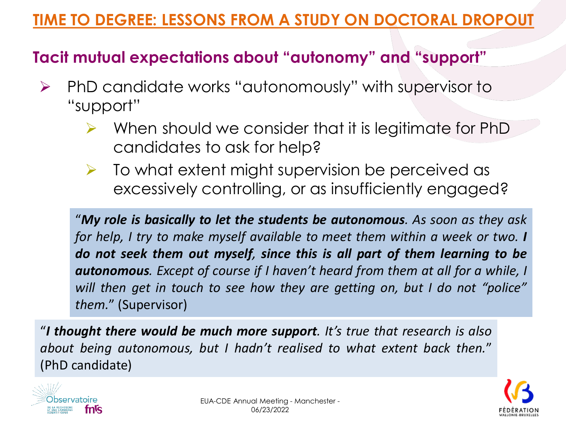# **TIME TO DEGREE: LESSONS FROM A STUDY ON DOCTORAL DROPOUT**

# **Tacit mutual expectations about "autonomy" and "support"**

- ➢ PhD candidate works "autonomously" with supervisor to "support"
	- When should we consider that it is legitimate for PhD candidates to ask for help?
	- $\triangleright$  To what extent might supervision be perceived as excessively controlling, or as insufficiently engaged?

"*My role is basically to let the students be autonomous. As soon as they ask for help, I try to make myself available to meet them within a week or two. I do not seek them out myself, since this is all part of them learning to be autonomous. Except of course if I haven't heard from them at all for a while, I will then get in touch to see how they are getting on, but I do not "police" them.*" (Supervisor)

"*I thought there would be much more support. It's true that research is also about being autonomous, but I hadn't realised to what extent back then.*" (PhD candidate)



![](_page_3_Picture_8.jpeg)

![](_page_3_Picture_9.jpeg)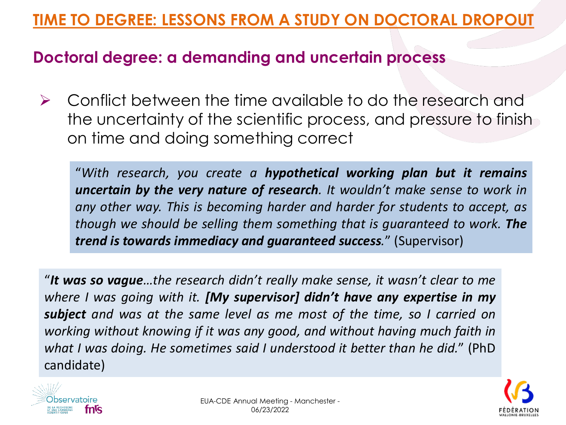# **TIME TO DEGREE: LESSONS FROM A STUDY ON DOCTORAL DROPOUT**

#### **Doctoral degree: a demanding and uncertain process**

➢ Conflict between the time available to do the research and the uncertainty of the scientific process, and pressure to finish on time and doing something correct

"*With research, you create a hypothetical working plan but it remains uncertain by the very nature of research. It wouldn't make sense to work in any other way. This is becoming harder and harder for students to accept, as though we should be selling them something that is guaranteed to work. The trend is towards immediacy and guaranteed success.*" (Supervisor)

"*It was so vague…the research didn't really make sense, it wasn't clear to me where I was going with it. [My supervisor] didn't have any expertise in my subject and was at the same level as me most of the time, so I carried on working without knowing if it was any good, and without having much faith in what I was doing. He sometimes said I understood it better than he did.*" (PhD candidate)

![](_page_4_Picture_5.jpeg)

![](_page_4_Picture_6.jpeg)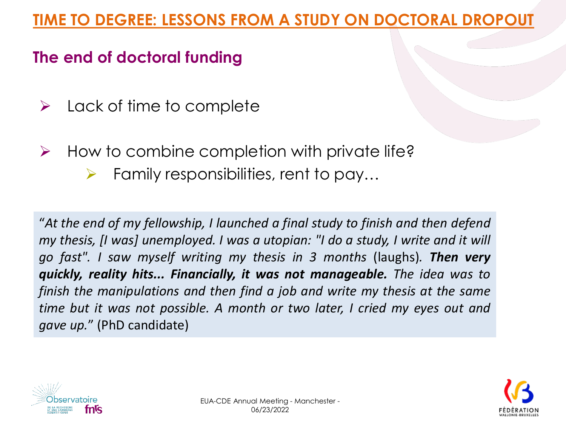# **The end of doctoral funding**

- $\triangleright$  Lack of time to complete
- $\triangleright$  How to combine completion with private life?
	- $\triangleright$  Family responsibilities, rent to pay...

"*At the end of my fellowship, I launched a final study to finish and then defend my thesis, [I was] unemployed. I was a utopian: "I do a study, I write and it will go fast". I saw myself writing my thesis in 3 months* (laughs)*. Then very quickly, reality hits... Financially, it was not manageable. The idea was to finish the manipulations and then find a job and write my thesis at the same time but it was not possible. A month or two later, I cried my eyes out and gave up.*" (PhD candidate)

![](_page_5_Picture_6.jpeg)

![](_page_5_Picture_7.jpeg)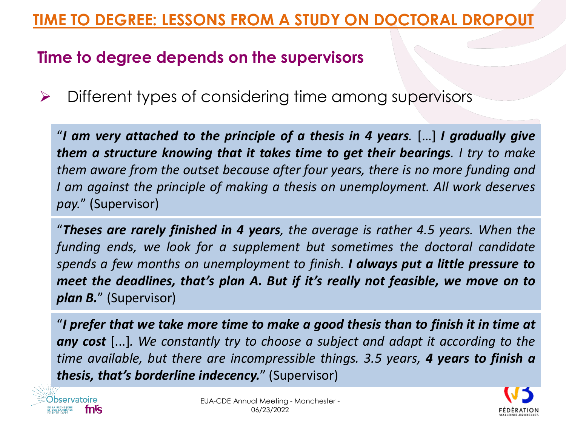# **TIME TO DEGREE: LESSONS FROM A STUDY ON DOCTORAL DROPOUT**

#### **Time to degree depends on the supervisors**

➢ Different types of considering time among supervisors

"*I am very attached to the principle of a thesis in 4 years.* […] *I gradually give them a structure knowing that it takes time to get their bearings. I try to make them aware from the outset because after four years, there is no more funding and I am against the principle of making a thesis on unemployment. All work deserves pay.*" (Supervisor)

"*Theses are rarely finished in 4 years, the average is rather 4.5 years. When the funding ends, we look for a supplement but sometimes the doctoral candidate spends a few months on unemployment to finish. I always put a little pressure to meet the deadlines, that's plan A. But if it's really not feasible, we move on to plan B.*" (Supervisor)

"*I prefer that we take more time to make a good thesis than to finish it in time at any cost* [...]*. We constantly try to choose a subject and adapt it according to the time available, but there are incompressible things. 3.5 years, 4 years to finish a thesis, that's borderline indecency.*" (Supervisor)

![](_page_6_Picture_6.jpeg)

![](_page_6_Picture_8.jpeg)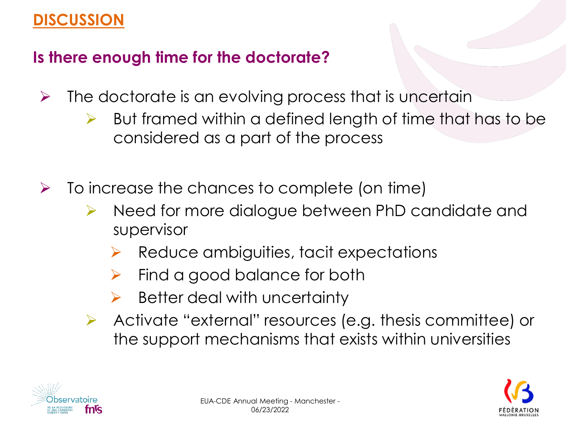# **DISCUSSION**

# **Is there enough time for the doctorate?**

- $\triangleright$  The doctorate is an evolving process that is uncertain
	- $\triangleright$  But framed within a defined length of time that has to be considered as a part of the process
- $\triangleright$  To increase the chances to complete (on time)
	- ➢ Need for more dialogue between PhD candidate and supervisor
		- ➢ Reduce ambiguities, tacit expectations
		- $\triangleright$  Find a good balance for both
		- $\triangleright$  Better deal with uncertainty
	- ➢ Activate "external" resources (e.g. thesis committee) or the support mechanisms that exists within universities

![](_page_7_Picture_10.jpeg)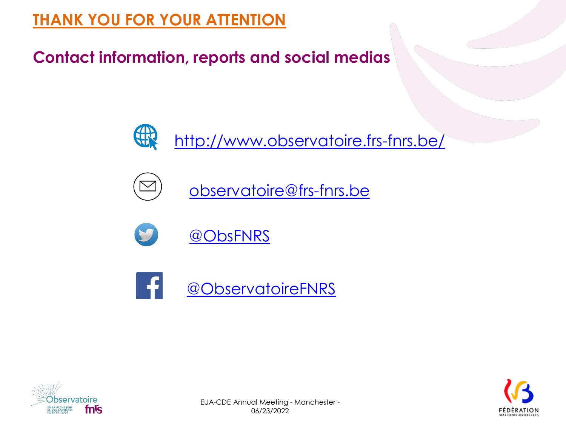# **THANK YOU FOR YOUR ATTENTION**

**Contact information, reports and social medias**

![](_page_8_Picture_2.jpeg)

![](_page_8_Picture_3.jpeg)

![](_page_8_Picture_4.jpeg)

![](_page_8_Picture_5.jpeg)

![](_page_8_Picture_6.jpeg)

![](_page_8_Picture_7.jpeg)

![](_page_8_Picture_8.jpeg)